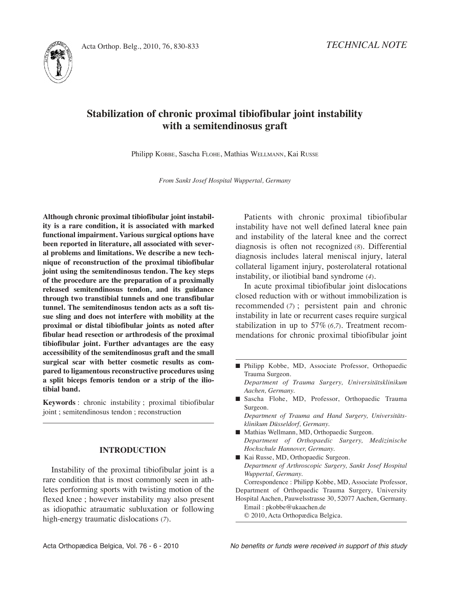

# **Stabilization of chronic proximal tibiofibular joint instability with a semitendinosus graft**

Philipp KOBBE, Sascha FLOHE, Mathias WELLMANN, Kai RUSSE

*From Sankt Josef Hospital Wuppertal, Germany*

**Although chronic proximal tibiofibular joint instability is a rare condition, it is associated with marked functional impairment. Various surgical options have been reported in literature, all associated with several problems and limitations. We describe a new technique of reconstruction of the proximal tibiofibular joint using the semitendinosus tendon. The key steps of the procedure are the preparation of a proximally released semitendinosus tendon, and its guidance through two transtibial tunnels and one transfibular tunnel. The semitendinosus tendon acts as a soft tissue sling and does not interfere with mobility at the proximal or distal tibiofibular joints as noted after fibular head resection or arthrodesis of the proximal tibiofibular joint. Further advantages are the easy accessibility of the semitendinosus graft and the small surgical scar with better cosmetic results as compared to ligamentous reconstructive procedures using a split biceps femoris tendon or a strip of the iliotibial band.**

**Keywords** : chronic instability ; proximal tibiofibular joint ; semitendinosus tendon ; reconstruction

## **INTRODUCTION**

Instability of the proximal tibiofibular joint is a rare condition that is most commonly seen in athletes performing sports with twisting motion of the flexed knee ; however instability may also present as idiopathic atraumatic subluxation or following high-energy traumatic dislocations (*7*).

Patients with chronic proximal tibiofibular instability have not well defined lateral knee pain and instability of the lateral knee and the correct diagnosis is often not recognized (*8*). Differential diagnosis includes lateral meniscal injury, lateral collateral ligament injury, posterolateral rotational instability, or iliotibial band syndrome (*4*).

In acute proximal tibiofibular joint dislocations closed reduction with or without immobilization is recommended (*7*) ; persistent pain and chronic instability in late or recurrent cases require surgical stabilization in up to 57% (*6,7*). Treatment recommendations for chronic proximal tibiofibular joint

■ Philipp Kobbe, MD, Associate Professor, Orthopaedic Trauma Surgeon.

*Department of Trauma Surgery, Universitätsklinikum Aachen, Germany.*

■ Sascha Flohe, MD, Professor, Orthopaedic Trauma Surgeon.

*Department of Trauma and Hand Surgery, Universitätsklinikum Düsseldorf, Germany.*

- Mathias Wellmann, MD, Orthopaedic Surgeon. *Department of Orthopaedic Surgery, Medizinische Hochschule Hannover, Germany.*
- Kai Russe, MD, Orthopaedic Surgeon. *Department of Arthroscopic Surgery, Sankt Josef Hospital Wuppertal, Germany.*

Correspondence : Philipp Kobbe, MD, Associate Professor, Department of Orthopaedic Trauma Surgery, University Hospital Aachen, Pauwelsstrasse 30, 52077 Aachen, Germany. Email : pkobbe@ukaachen.de

© 2010, Acta Orthopædica Belgica.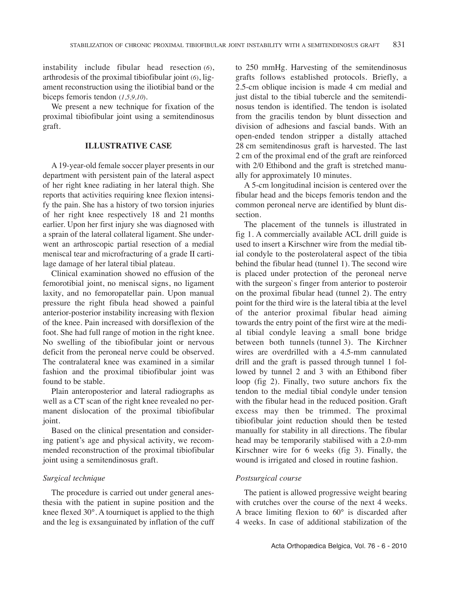instability include fibular head resection (*6*), arthrodesis of the proximal tibiofibular joint (*6*), ligament reconstruction using the iliotibial band or the biceps femoris tendon (*1,5,9,10*).

We present a new technique for fixation of the proximal tibiofibular joint using a semitendinosus graft.

## **ILLUSTRATIVE CASE**

A 19-year-old female soccer player presents in our department with persistent pain of the lateral aspect of her right knee radiating in her lateral thigh. She reports that activities requiring knee flexion intensify the pain. She has a history of two torsion injuries of her right knee respectively 18 and 21 months earlier. Upon her first injury she was diagnosed with a sprain of the lateral collateral ligament. She underwent an arthroscopic partial resection of a medial meniscal tear and microfracturing of a grade II cartilage damage of her lateral tibial plateau.

Clinical examination showed no effusion of the femorotibial joint, no meniscal signs, no ligament laxity, and no femoropatellar pain. Upon manual pressure the right fibula head showed a painful anterior-posterior instability increasing with flexion of the knee. Pain increased with dorsiflexion of the foot. She had full range of motion in the right knee. No swelling of the tibiofibular joint or nervous deficit from the peroneal nerve could be observed. The contralateral knee was examined in a similar fashion and the proximal tibiofibular joint was found to be stable.

Plain anteroposterior and lateral radiographs as well as a CT scan of the right knee revealed no permanent dislocation of the proximal tibiofibular joint.

Based on the clinical presentation and considering patient's age and physical activity, we recommended reconstruction of the proximal tibiofibular joint using a semitendinosus graft.

## *Surgical technique*

The procedure is carried out under general anesthesia with the patient in supine position and the knee flexed 30°. A tourniquet is applied to the thigh and the leg is exsanguinated by inflation of the cuff to 250 mmHg. Harvesting of the semitendinosus grafts follows established protocols. Briefly, a 2.5-cm oblique incision is made 4 cm medial and just distal to the tibial tubercle and the semitendinosus tendon is identified. The tendon is isolated from the gracilis tendon by blunt dissection and division of adhesions and fascial bands. With an open-ended tendon stripper a distally attached 28 cm semitendinosus graft is harvested. The last 2 cm of the proximal end of the graft are reinforced with 2/0 Ethibond and the graft is stretched manually for approximately 10 minutes.

A 5-cm longitudinal incision is centered over the fibular head and the biceps femoris tendon and the common peroneal nerve are identified by blunt dissection.

The placement of the tunnels is illustrated in fig 1. A commercially available ACl drill guide is used to insert a Kirschner wire from the medial tibial condyle to the posterolateral aspect of the tibia behind the fibular head (tunnel 1). The second wire is placed under protection of the peroneal nerve with the surgeon`s finger from anterior to posteroir on the proximal fibular head (tunnel 2). The entry point for the third wire is the lateral tibia at the level of the anterior proximal fibular head aiming towards the entry point of the first wire at the medial tibial condyle leaving a small bone bridge between both tunnels (tunnel 3). The Kirchner wires are overdrilled with a 4.5-mm cannulated drill and the graft is passed through tunnel 1 followed by tunnel 2 and 3 with an Ethibond fiber loop (fig 2). Finally, two suture anchors fix the tendon to the medial tibial condyle under tension with the fibular head in the reduced position. Graft excess may then be trimmed. The proximal tibiofibular joint reduction should then be tested manually for stability in all directions. The fibular head may be temporarily stabilised with a 2.0-mm Kirschner wire for 6 weeks (fig 3). Finally, the wound is irrigated and closed in routine fashion.

### *Postsurgical course*

The patient is allowed progressive weight bearing with crutches over the course of the next 4 weeks. A brace limiting flexion to 60° is discarded after 4 weeks. In case of additional stabilization of the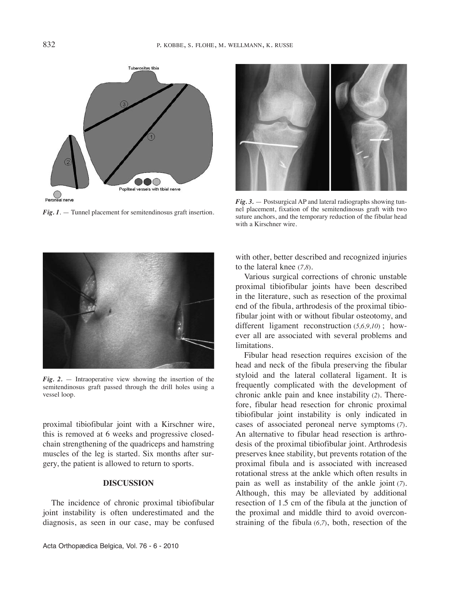

*Fig. 1*. — Tunnel placement for semitendinosus graft insertion.



*Fig. 3.* — Postsurgical AP and lateral radiographs showing tunnel placement, fixation of the semitendinosus graft with two suture anchors, and the temporary reduction of the fibular head with a Kirschner wire.



*Fig. 2.* — Intraoperative view showing the insertion of the semitendinosus graft passed through the drill holes using a vessel loop.

proximal tibiofibular joint with a Kirschner wire, this is removed at 6 weeks and progressive closedchain strengthening of the quadriceps and hamstring muscles of the leg is started. Six months after surgery, the patient is allowed to return to sports.

## **DISCUSSION**

The incidence of chronic proximal tibiofibular joint instability is often underestimated and the diagnosis, as seen in our case, may be confused

with other, better described and recognized injuries to the lateral knee (*7,8*)*.*

Various surgical corrections of chronic unstable proximal tibiofibular joints have been described in the literature, such as resection of the proximal end of the fibula, arthrodesis of the proximal tibiofibular joint with or without fibular osteotomy, and different ligament reconstruction (*5,6,9,10*) ; however all are associated with several problems and limitations.

Fibular head resection requires excision of the head and neck of the fibula preserving the fibular styloid and the lateral collateral ligament. It is frequently complicated with the development of chronic ankle pain and knee instability (*2*). Therefore, fibular head resection for chronic proximal tibiofibular joint instability is only indicated in cases of associated peroneal nerve symptoms (*7*). An alternative to fibular head resection is arthrodesis of the proximal tibiofibular joint. Arthrodesis preserves knee stability, but prevents rotation of the proximal fibula and is associated with increased rotational stress at the ankle which often results in pain as well as instability of the ankle joint (*7*). Although, this may be alleviated by additional resection of 1.5 cm of the fibula at the junction of the proximal and middle third to avoid overconstraining of the fibula (*6,7*), both, resection of the